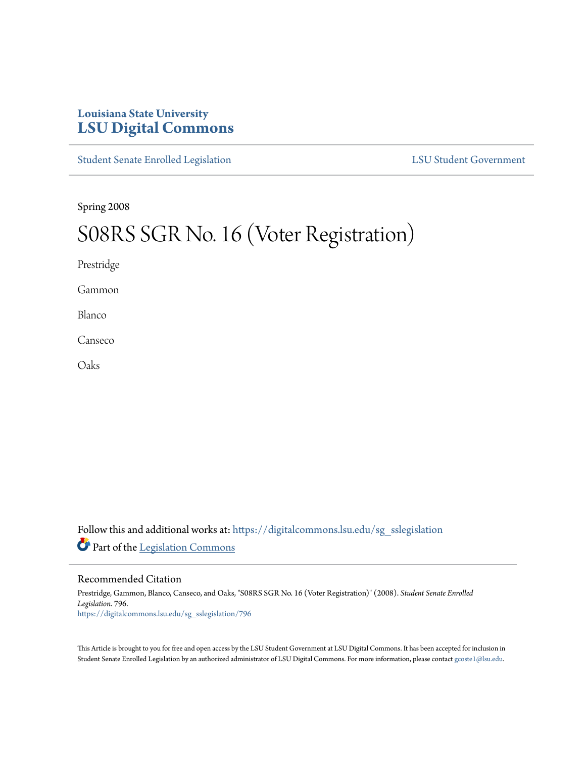## **Louisiana State University [LSU Digital Commons](https://digitalcommons.lsu.edu?utm_source=digitalcommons.lsu.edu%2Fsg_sslegislation%2F796&utm_medium=PDF&utm_campaign=PDFCoverPages)**

[Student Senate Enrolled Legislation](https://digitalcommons.lsu.edu/sg_sslegislation?utm_source=digitalcommons.lsu.edu%2Fsg_sslegislation%2F796&utm_medium=PDF&utm_campaign=PDFCoverPages) [LSU Student Government](https://digitalcommons.lsu.edu/sg?utm_source=digitalcommons.lsu.edu%2Fsg_sslegislation%2F796&utm_medium=PDF&utm_campaign=PDFCoverPages)

Spring 2008

## S08RS SGR No. 16 (Voter Registration)

Prestridge

Gammon

Blanco

Canseco

Oaks

Follow this and additional works at: [https://digitalcommons.lsu.edu/sg\\_sslegislation](https://digitalcommons.lsu.edu/sg_sslegislation?utm_source=digitalcommons.lsu.edu%2Fsg_sslegislation%2F796&utm_medium=PDF&utm_campaign=PDFCoverPages) Part of the [Legislation Commons](http://network.bepress.com/hgg/discipline/859?utm_source=digitalcommons.lsu.edu%2Fsg_sslegislation%2F796&utm_medium=PDF&utm_campaign=PDFCoverPages)

## Recommended Citation

Prestridge, Gammon, Blanco, Canseco, and Oaks, "S08RS SGR No. 16 (Voter Registration)" (2008). *Student Senate Enrolled Legislation*. 796. [https://digitalcommons.lsu.edu/sg\\_sslegislation/796](https://digitalcommons.lsu.edu/sg_sslegislation/796?utm_source=digitalcommons.lsu.edu%2Fsg_sslegislation%2F796&utm_medium=PDF&utm_campaign=PDFCoverPages)

This Article is brought to you for free and open access by the LSU Student Government at LSU Digital Commons. It has been accepted for inclusion in Student Senate Enrolled Legislation by an authorized administrator of LSU Digital Commons. For more information, please contact [gcoste1@lsu.edu.](mailto:gcoste1@lsu.edu)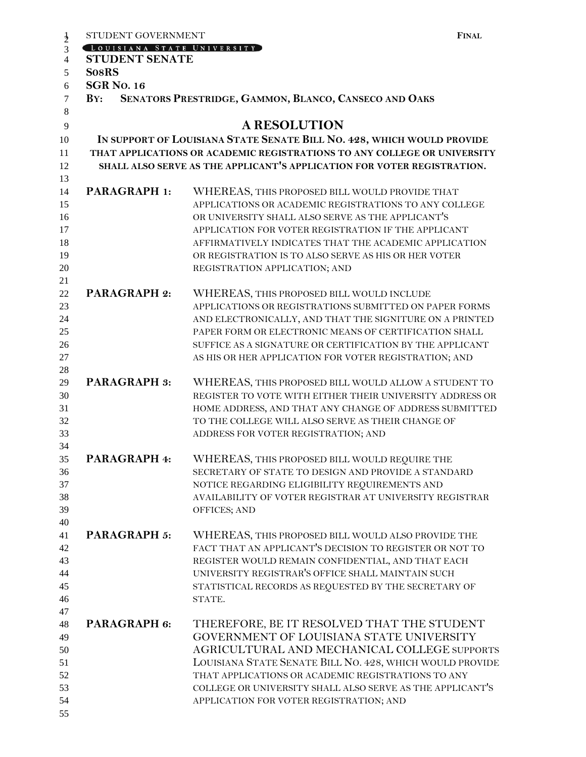|                | STUDENT GOVERNMENT                                                       |                                                                                                          | <b>FINAL</b> |  |  |  |
|----------------|--------------------------------------------------------------------------|----------------------------------------------------------------------------------------------------------|--------------|--|--|--|
| $\frac{1}{2}$  | [LOUISIANA STATE UNIVERSITY]                                             |                                                                                                          |              |  |  |  |
| $\overline{4}$ | <b>STUDENT SENATE</b>                                                    |                                                                                                          |              |  |  |  |
| 5              | <b>SosRS</b>                                                             |                                                                                                          |              |  |  |  |
| 6              | <b>SGR No. 16</b>                                                        |                                                                                                          |              |  |  |  |
| $\overline{7}$ | SENATORS PRESTRIDGE, GAMMON, BLANCO, CANSECO AND OAKS<br>BY:             |                                                                                                          |              |  |  |  |
| 8              |                                                                          |                                                                                                          |              |  |  |  |
| 9              |                                                                          | <b>A RESOLUTION</b>                                                                                      |              |  |  |  |
| 10             | IN SUPPORT OF LOUISIANA STATE SENATE BILL NO. 428, WHICH WOULD PROVIDE   |                                                                                                          |              |  |  |  |
| 11             | THAT APPLICATIONS OR ACADEMIC REGISTRATIONS TO ANY COLLEGE OR UNIVERSITY |                                                                                                          |              |  |  |  |
| 12             |                                                                          | SHALL ALSO SERVE AS THE APPLICANT'S APPLICATION FOR VOTER REGISTRATION.                                  |              |  |  |  |
| 13             |                                                                          |                                                                                                          |              |  |  |  |
| 14             | <b>PARAGRAPH 1:</b>                                                      | WHEREAS, THIS PROPOSED BILL WOULD PROVIDE THAT                                                           |              |  |  |  |
| 15             |                                                                          | APPLICATIONS OR ACADEMIC REGISTRATIONS TO ANY COLLEGE                                                    |              |  |  |  |
| 16             |                                                                          | OR UNIVERSITY SHALL ALSO SERVE AS THE APPLICANT'S                                                        |              |  |  |  |
| 17             |                                                                          | APPLICATION FOR VOTER REGISTRATION IF THE APPLICANT                                                      |              |  |  |  |
| 18             |                                                                          | AFFIRMATIVELY INDICATES THAT THE ACADEMIC APPLICATION                                                    |              |  |  |  |
| 19             |                                                                          | OR REGISTRATION IS TO ALSO SERVE AS HIS OR HER VOTER                                                     |              |  |  |  |
| 20             |                                                                          | REGISTRATION APPLICATION; AND                                                                            |              |  |  |  |
| 21             |                                                                          |                                                                                                          |              |  |  |  |
| 22             | <b>PARAGRAPH 2:</b>                                                      | WHEREAS, THIS PROPOSED BILL WOULD INCLUDE                                                                |              |  |  |  |
| 23             |                                                                          | APPLICATIONS OR REGISTRATIONS SUBMITTED ON PAPER FORMS                                                   |              |  |  |  |
| 24             |                                                                          | AND ELECTRONICALLY, AND THAT THE SIGNITURE ON A PRINTED                                                  |              |  |  |  |
| 25             |                                                                          | PAPER FORM OR ELECTRONIC MEANS OF CERTIFICATION SHALL                                                    |              |  |  |  |
| 26             |                                                                          | SUFFICE AS A SIGNATURE OR CERTIFICATION BY THE APPLICANT                                                 |              |  |  |  |
| 27             |                                                                          | AS HIS OR HER APPLICATION FOR VOTER REGISTRATION; AND                                                    |              |  |  |  |
| 28             |                                                                          |                                                                                                          |              |  |  |  |
| 29             | <b>PARAGRAPH 3:</b>                                                      | WHEREAS, THIS PROPOSED BILL WOULD ALLOW A STUDENT TO                                                     |              |  |  |  |
| 30             |                                                                          | REGISTER TO VOTE WITH EITHER THEIR UNIVERSITY ADDRESS OR                                                 |              |  |  |  |
| 31             |                                                                          | HOME ADDRESS, AND THAT ANY CHANGE OF ADDRESS SUBMITTED                                                   |              |  |  |  |
| 32             |                                                                          | TO THE COLLEGE WILL ALSO SERVE AS THEIR CHANGE OF                                                        |              |  |  |  |
| 33             |                                                                          | ADDRESS FOR VOTER REGISTRATION; AND                                                                      |              |  |  |  |
| 34             |                                                                          |                                                                                                          |              |  |  |  |
| 35             | <b>PARAGRAPH 4:</b>                                                      | WHEREAS, THIS PROPOSED BILL WOULD REQUIRE THE                                                            |              |  |  |  |
| 36<br>37       |                                                                          | SECRETARY OF STATE TO DESIGN AND PROVIDE A STANDARD                                                      |              |  |  |  |
| 38             |                                                                          | NOTICE REGARDING ELIGIBILITY REQUIREMENTS AND<br>AVAILABILITY OF VOTER REGISTRAR AT UNIVERSITY REGISTRAR |              |  |  |  |
| 39             |                                                                          | OFFICES; AND                                                                                             |              |  |  |  |
| 40             |                                                                          |                                                                                                          |              |  |  |  |
| 41             | <b>PARAGRAPH 5:</b>                                                      | WHEREAS, THIS PROPOSED BILL WOULD ALSO PROVIDE THE                                                       |              |  |  |  |
| 42             |                                                                          | FACT THAT AN APPLICANT'S DECISION TO REGISTER OR NOT TO                                                  |              |  |  |  |
| 43             |                                                                          | REGISTER WOULD REMAIN CONFIDENTIAL, AND THAT EACH                                                        |              |  |  |  |
| 44             |                                                                          | UNIVERSITY REGISTRAR'S OFFICE SHALL MAINTAIN SUCH                                                        |              |  |  |  |
| 45             |                                                                          | STATISTICAL RECORDS AS REQUESTED BY THE SECRETARY OF                                                     |              |  |  |  |
| 46             |                                                                          | STATE.                                                                                                   |              |  |  |  |
| 47             |                                                                          |                                                                                                          |              |  |  |  |
| 48             | PARAGRAPH 6:                                                             | THEREFORE, BE IT RESOLVED THAT THE STUDENT                                                               |              |  |  |  |
| 49             |                                                                          | GOVERNMENT OF LOUISIANA STATE UNIVERSITY                                                                 |              |  |  |  |
| 50             |                                                                          | AGRICULTURAL AND MECHANICAL COLLEGE SUPPORTS                                                             |              |  |  |  |
| 51             |                                                                          | LOUISIANA STATE SENATE BILL NO. 428, WHICH WOULD PROVIDE                                                 |              |  |  |  |
| 52             |                                                                          | THAT APPLICATIONS OR ACADEMIC REGISTRATIONS TO ANY                                                       |              |  |  |  |
| 53             |                                                                          | COLLEGE OR UNIVERSITY SHALL ALSO SERVE AS THE APPLICANT'S                                                |              |  |  |  |
| 54             |                                                                          | APPLICATION FOR VOTER REGISTRATION; AND                                                                  |              |  |  |  |
| 55             |                                                                          |                                                                                                          |              |  |  |  |